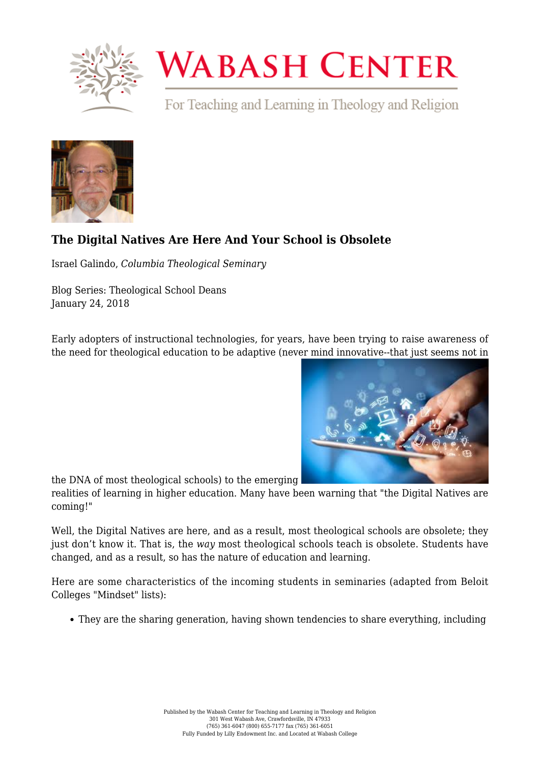

## **WABASH CENTER**

For Teaching and Learning in Theology and Religion



## **[The Digital Natives Are Here And Your School is Obsolete](https://www.wabashcenter.wabash.edu/2018/01/digital-natives-school-obsolete/)**

Israel Galindo, *Columbia Theological Seminary*

Blog Series: Theological School Deans January 24, 2018

Early adopters of instructional technologies, for years, have been trying to raise awareness of the need for theological education to be adaptive (never mind innovative--that just seems not in



the DNA of most theological schools) to the emerging

realities of learning in higher education. Many have been warning that "the Digital Natives are coming!"

Well, the Digital Natives are here, and as a result, most theological schools are obsolete; they just don't know it. That is, the *way* most theological schools teach is obsolete. Students have changed, and as a result, so has the nature of education and learning.

Here are some characteristics of the incoming students in seminaries (adapted from Beloit Colleges "Mindset" lists):

They are the sharing generation, having shown tendencies to share everything, including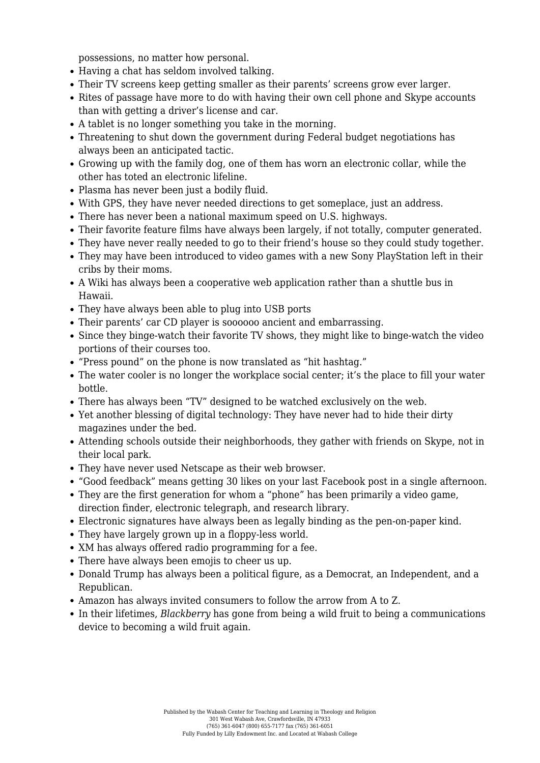possessions, no matter how personal.

- Having a chat has seldom involved talking.
- Their TV screens keep getting smaller as their parents' screens grow ever larger.
- Rites of passage have more to do with having their own cell phone and Skype accounts than with getting a driver's license and car.
- A tablet is no longer something you take in the morning.
- Threatening to shut down the government during Federal budget negotiations has always been an anticipated tactic.
- Growing up with the family dog, one of them has worn an electronic collar, while the other has toted an electronic lifeline.
- Plasma has never been just a bodily fluid.
- With GPS, they have never needed directions to get someplace, just an address.
- There has never been a national maximum speed on U.S. highways.
- Their favorite feature films have always been largely, if not totally, computer generated.
- They have never really needed to go to their friend's house so they could study together.
- They may have been introduced to video games with a new Sony PlayStation left in their cribs by their moms.
- A Wiki has always been a cooperative web application rather than a shuttle bus in Hawaii.
- They have always been able to plug into USB ports
- Their parents' car CD player is soooooo ancient and embarrassing.
- Since they binge-watch their favorite TV shows, they might like to binge-watch the video portions of their courses too.
- "Press pound" on the phone is now translated as "hit hashtag."
- The water cooler is no longer the workplace social center; it's the place to fill your water bottle.
- There has always been "TV" designed to be watched exclusively on the web.
- Yet another blessing of digital technology: They have never had to hide their dirty magazines under the bed.
- Attending schools outside their neighborhoods, they gather with friends on Skype, not in their local park.
- They have never used Netscape as their web browser.
- "Good feedback" means getting 30 likes on your last Facebook post in a single afternoon.
- They are the first generation for whom a "phone" has been primarily a video game, direction finder, electronic telegraph, and research library.
- Electronic signatures have always been as legally binding as the pen-on-paper kind.
- They have largely grown up in a floppy-less world.
- XM has always offered radio programming for a fee.
- There have always been emojis to cheer us up.
- Donald Trump has always been a political figure, as a Democrat, an Independent, and a Republican.
- Amazon has always invited consumers to follow the arrow from A to Z.
- In their lifetimes, *Blackberry* has gone from being a wild fruit to being a communications device to becoming a wild fruit again.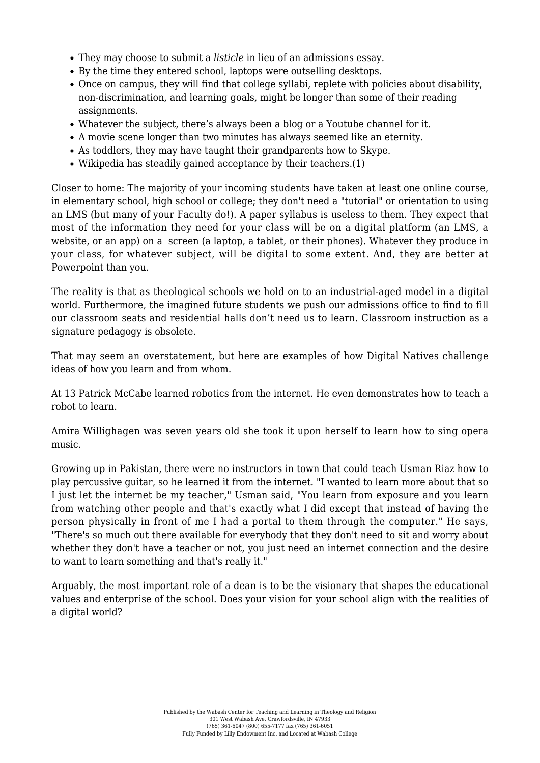- They may choose to submit a *listicle* in lieu of an admissions essay.
- By the time they entered school, laptops were outselling desktops.
- Once on campus, they will find that college syllabi, replete with policies about disability, non-discrimination, and learning goals, might be longer than some of their reading assignments.
- Whatever the subject, there's always been a blog or a Youtube channel for it.
- A movie scene longer than two minutes has always seemed like an eternity.
- As toddlers, they may have taught their grandparents how to Skype.
- Wikipedia has steadily gained acceptance by their teachers.(1)

Closer to home: The majority of your incoming students have taken at least one online course, in elementary school, high school or college; they don't need a "tutorial" or orientation to using an LMS (but many of your Faculty do!). A paper syllabus is useless to them. They expect that most of the information they need for your class will be on a digital platform (an LMS, a website, or an app) on a screen (a laptop, a tablet, or their phones). Whatever they produce in your class, for whatever subject, will be digital to some extent. And, they are better at Powerpoint than you.

The reality is that as theological schools we hold on to an industrial-aged model in a digital world. Furthermore, the imagined future students we push our admissions office to find to fill our classroom seats and residential halls don't need us to learn. Classroom instruction as a signature pedagogy is obsolete.

That may seem an overstatement, but here are examples of how Digital Natives challenge ideas of how you learn and from whom.

[At 13 Patrick McCabe learned robotics from the internet.](https://www.youtube.com/watch?v=ZgOVCh_cYnk) [He even demonstrates how to teach a](https://www.youtube.com/watch?v=OgzdDp5qfdI) [robot to learn.](https://www.youtube.com/watch?v=OgzdDp5qfdI)

[Amira Willighagen was seven years old she took it upon herself to learn how to sing opera](https://www.youtube.com/watch?v=UJ3u5w9NYjQ) [music.](https://www.youtube.com/watch?v=UJ3u5w9NYjQ)

[Growing up in Pakistan, there were no instructors in town that could teach Usman Riaz how to](https://www.youtube.com/watch?v=wZHSKC6d6W8) [play percussive guitar,](https://www.youtube.com/watch?v=wZHSKC6d6W8) so he learned it from the internet. "I wanted to learn more about that so I just let the internet be my teacher," Usman said, "You learn from exposure and you learn from watching other people and that's exactly what I did except that instead of having the person physically in front of me I had a portal to them through the computer." He says, "There's so much out there available for everybody that they don't need to sit and worry about whether they don't have a teacher or not, you just need an internet connection and the desire to want to learn something and that's really it."

Arguably, the most important role of a dean is to be the visionary that shapes the educational values and enterprise of the school. Does your vision for your school align with the realities of a digital world?